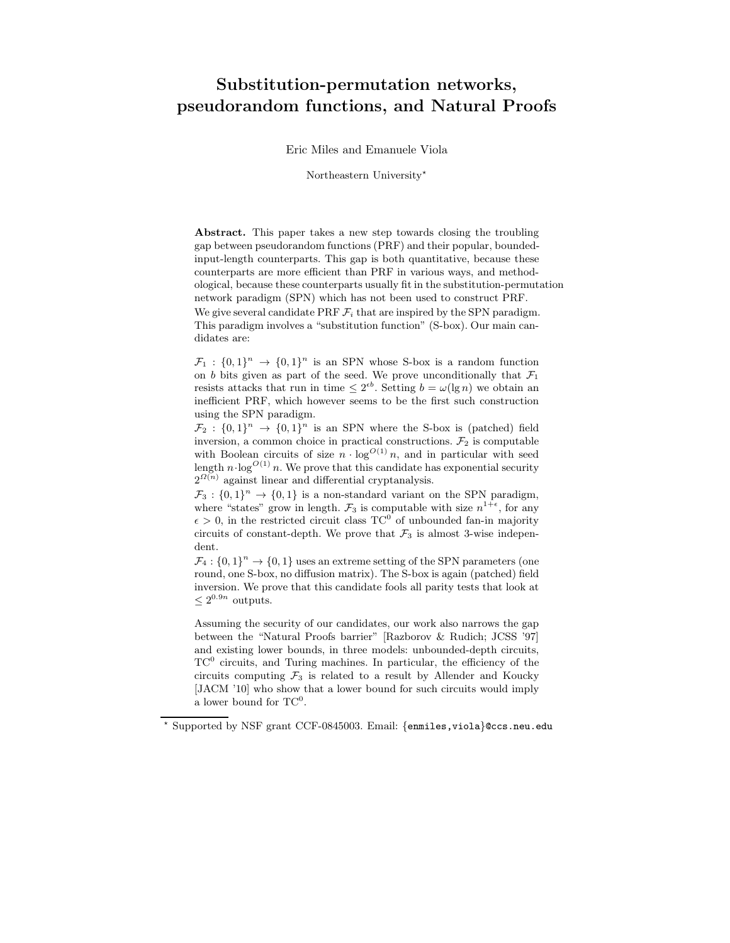# Substitution-permutation networks, pseudorandom functions, and Natural Proofs

Eric Miles and Emanuele Viola

Northeastern University<sup>\*</sup>

Abstract. This paper takes a new step towards closing the troubling gap between pseudorandom functions (PRF) and their popular, boundedinput-length counterparts. This gap is both quantitative, because these counterparts are more efficient than PRF in various ways, and methodological, because these counterparts usually fit in the substitution-permutation network paradigm (SPN) which has not been used to construct PRF. We give several candidate PRF  $\mathcal{F}_i$  that are inspired by the SPN paradigm. This paradigm involves a "substitution function" (S-box). Our main candidates are:

 $\mathcal{F}_1: \{0,1\}^n \to \{0,1\}^n$  is an SPN whose S-box is a random function on b bits given as part of the seed. We prove unconditionally that  $\mathcal{F}_1$ resists attacks that run in time  $\leq 2^{\epsilon b}$ . Setting  $b = \omega(\lg n)$  we obtain an inefficient PRF, which however seems to be the first such construction using the SPN paradigm.

 $\mathcal{F}_2$ :  $\{0,1\}^n \rightarrow \{0,1\}^n$  is an SPN where the S-box is (patched) field inversion, a common choice in practical constructions.  $\mathcal{F}_2$  is computable with Boolean circuits of size  $n \cdot \log^{O(1)} n$ , and in particular with seed length  $n \cdot \log^{O(1)} n$ . We prove that this candidate has exponential security  $2^{\Omega(n)}$  against linear and differential cryptanalysis.

 $\mathcal{F}_3: \{0,1\}^n \to \{0,1\}$  is a non-standard variant on the SPN paradigm, where "states" grow in length.  $\mathcal{F}_3$  is computable with size  $n^{1+\epsilon}$ , for any  $\epsilon > 0$ , in the restricted circuit class TC<sup>0</sup> of unbounded fan-in majority circuits of constant-depth. We prove that  $\mathcal{F}_3$  is almost 3-wise independent.

 $\mathcal{F}_4$ :  $\{0,1\}^n \to \{0,1\}$  uses an extreme setting of the SPN parameters (one round, one S-box, no diffusion matrix). The S-box is again (patched) field inversion. We prove that this candidate fools all parity tests that look at  $\leq 2^{0.9n}$  outputs.

Assuming the security of our candidates, our work also narrows the gap between the "Natural Proofs barrier" [Razborov & Rudich; JCSS '97] and existing lower bounds, in three models: unbounded-depth circuits,  $TC<sup>0</sup>$  circuits, and Turing machines. In particular, the efficiency of the circuits computing  $\mathcal{F}_3$  is related to a result by Allender and Koucky [JACM '10] who show that a lower bound for such circuits would imply a lower bound for  $TC^0$ .

<sup>⋆</sup> Supported by NSF grant CCF-0845003. Email: {enmiles,viola}@ccs.neu.edu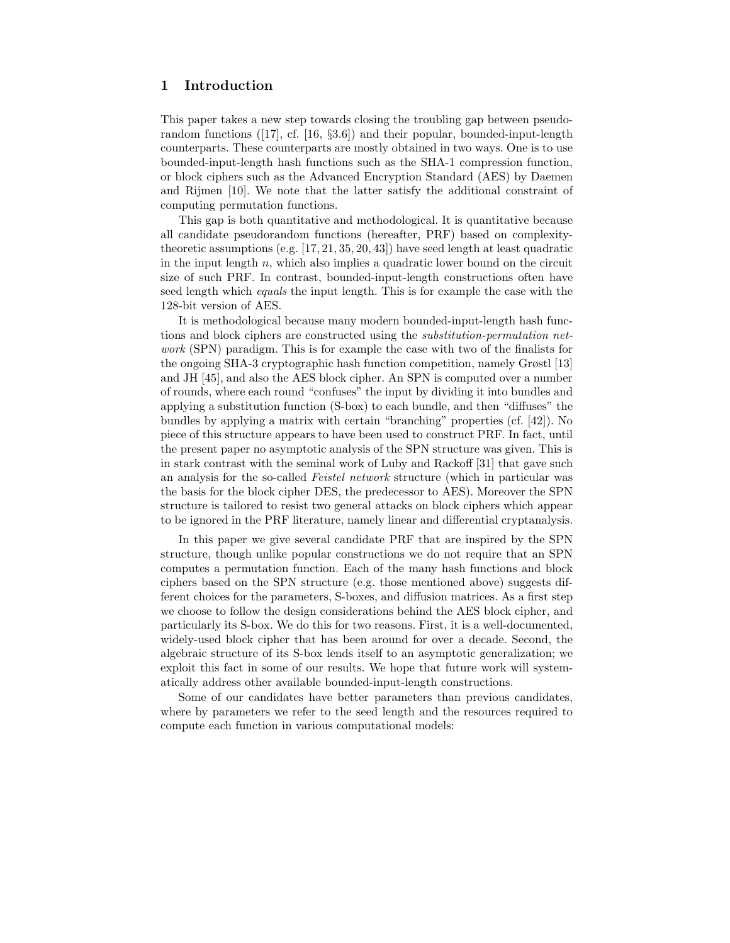## 1 Introduction

This paper takes a new step towards closing the troubling gap between pseudorandom functions ([17], cf. [16, §3.6]) and their popular, bounded-input-length counterparts. These counterparts are mostly obtained in two ways. One is to use bounded-input-length hash functions such as the SHA-1 compression function, or block ciphers such as the Advanced Encryption Standard (AES) by Daemen and Rijmen [10]. We note that the latter satisfy the additional constraint of computing permutation functions.

This gap is both quantitative and methodological. It is quantitative because all candidate pseudorandom functions (hereafter, PRF) based on complexitytheoretic assumptions (e.g. [17, 21, 35, 20, 43]) have seed length at least quadratic in the input length  $n$ , which also implies a quadratic lower bound on the circuit size of such PRF. In contrast, bounded-input-length constructions often have seed length which equals the input length. This is for example the case with the 128-bit version of AES.

It is methodological because many modern bounded-input-length hash functions and block ciphers are constructed using the substitution-permutation network (SPN) paradigm. This is for example the case with two of the finalists for the ongoing SHA-3 cryptographic hash function competition, namely Grøstl [13] and JH [45], and also the AES block cipher. An SPN is computed over a number of rounds, where each round "confuses" the input by dividing it into bundles and applying a substitution function (S-box) to each bundle, and then "diffuses" the bundles by applying a matrix with certain "branching" properties (cf. [42]). No piece of this structure appears to have been used to construct PRF. In fact, until the present paper no asymptotic analysis of the SPN structure was given. This is in stark contrast with the seminal work of Luby and Rackoff [31] that gave such an analysis for the so-called Feistel network structure (which in particular was the basis for the block cipher DES, the predecessor to AES). Moreover the SPN structure is tailored to resist two general attacks on block ciphers which appear to be ignored in the PRF literature, namely linear and differential cryptanalysis.

In this paper we give several candidate PRF that are inspired by the SPN structure, though unlike popular constructions we do not require that an SPN computes a permutation function. Each of the many hash functions and block ciphers based on the SPN structure (e.g. those mentioned above) suggests different choices for the parameters, S-boxes, and diffusion matrices. As a first step we choose to follow the design considerations behind the AES block cipher, and particularly its S-box. We do this for two reasons. First, it is a well-documented, widely-used block cipher that has been around for over a decade. Second, the algebraic structure of its S-box lends itself to an asymptotic generalization; we exploit this fact in some of our results. We hope that future work will systematically address other available bounded-input-length constructions.

Some of our candidates have better parameters than previous candidates, where by parameters we refer to the seed length and the resources required to compute each function in various computational models: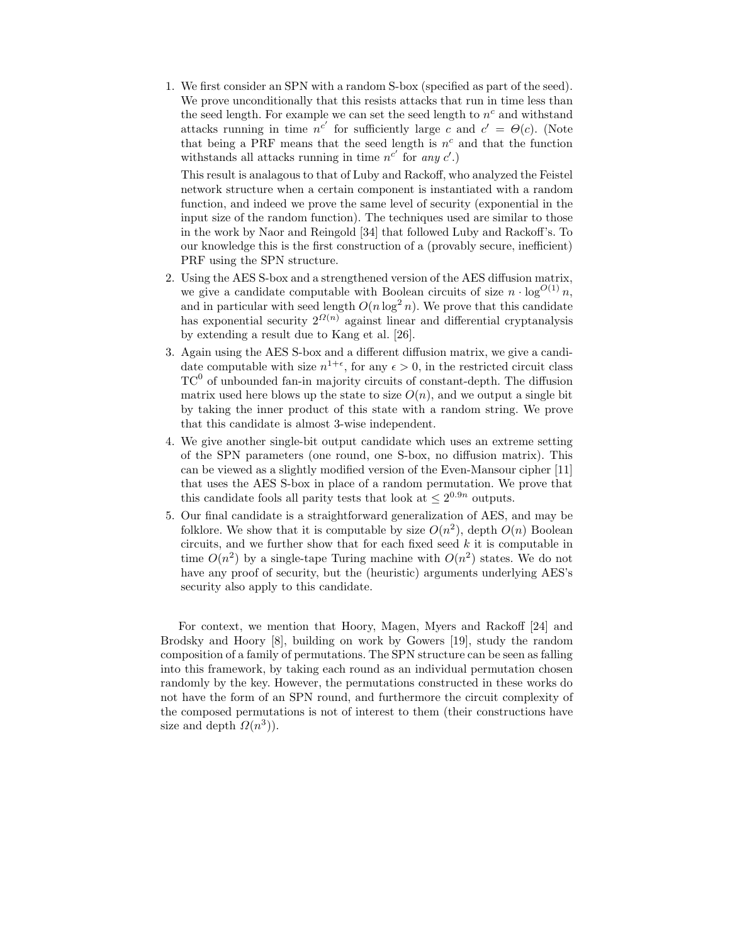1. We first consider an SPN with a random S-box (specified as part of the seed). We prove unconditionally that this resists attacks that run in time less than the seed length. For example we can set the seed length to  $n^c$  and withstand attacks running in time  $n^{c'}$  for sufficiently large c and  $c' = \Theta(c)$ . (Note that being a PRF means that the seed length is  $n^c$  and that the function withstands all attacks running in time  $n^{c'}$  for any  $c'$ .)

This result is analagous to that of Luby and Rackoff, who analyzed the Feistel network structure when a certain component is instantiated with a random function, and indeed we prove the same level of security (exponential in the input size of the random function). The techniques used are similar to those in the work by Naor and Reingold [34] that followed Luby and Rackoff's. To our knowledge this is the first construction of a (provably secure, inefficient) PRF using the SPN structure.

- 2. Using the AES S-box and a strengthened version of the AES diffusion matrix, we give a candidate computable with Boolean circuits of size  $n \cdot \log^{O(1)} n$ , and in particular with seed length  $O(n \log^2 n)$ . We prove that this candidate has exponential security  $2^{\Omega(n)}$  against linear and differential cryptanalysis by extending a result due to Kang et al. [26].
- 3. Again using the AES S-box and a different diffusion matrix, we give a candidate computable with size  $n^{1+\epsilon}$ , for any  $\epsilon > 0$ , in the restricted circuit class  $TC^{0}$  of unbounded fan-in majority circuits of constant-depth. The diffusion matrix used here blows up the state to size  $O(n)$ , and we output a single bit by taking the inner product of this state with a random string. We prove that this candidate is almost 3-wise independent.
- 4. We give another single-bit output candidate which uses an extreme setting of the SPN parameters (one round, one S-box, no diffusion matrix). This can be viewed as a slightly modified version of the Even-Mansour cipher [11] that uses the AES S-box in place of a random permutation. We prove that this candidate fools all parity tests that look at  $\leq 2^{0.9n}$  outputs.
- 5. Our final candidate is a straightforward generalization of AES, and may be folklore. We show that it is computable by size  $O(n^2)$ , depth  $O(n)$  Boolean circuits, and we further show that for each fixed seed  $k$  it is computable in time  $O(n^2)$  by a single-tape Turing machine with  $O(n^2)$  states. We do not have any proof of security, but the (heuristic) arguments underlying AES's security also apply to this candidate.

For context, we mention that Hoory, Magen, Myers and Rackoff [24] and Brodsky and Hoory [8], building on work by Gowers [19], study the random composition of a family of permutations. The SPN structure can be seen as falling into this framework, by taking each round as an individual permutation chosen randomly by the key. However, the permutations constructed in these works do not have the form of an SPN round, and furthermore the circuit complexity of the composed permutations is not of interest to them (their constructions have size and depth  $\Omega(n^3)$ ).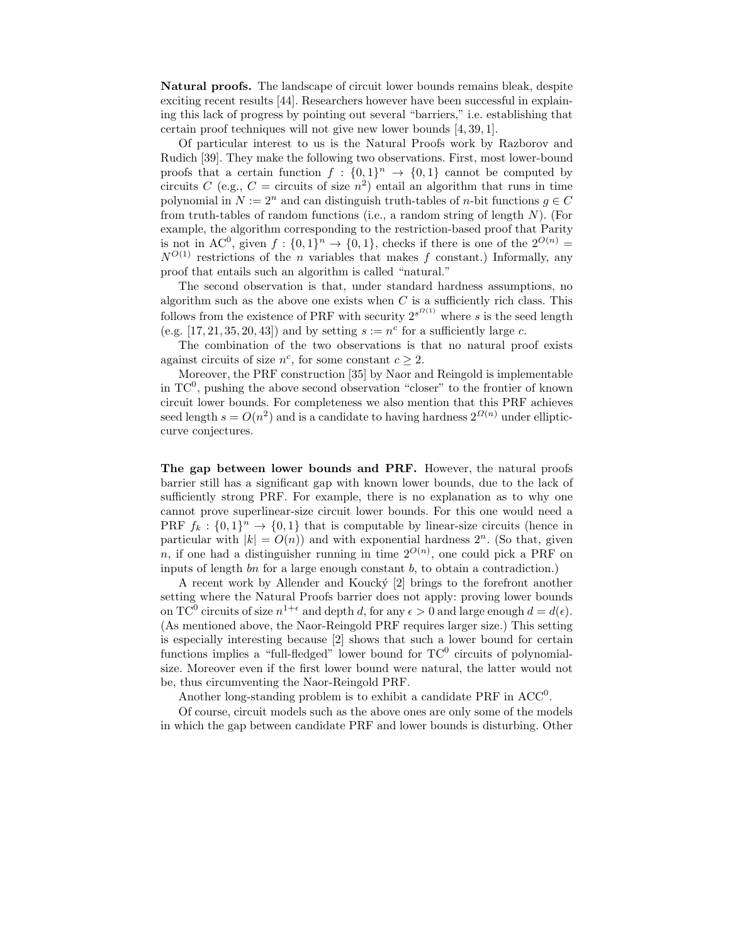Natural proofs. The landscape of circuit lower bounds remains bleak, despite exciting recent results [44]. Researchers however have been successful in explaining this lack of progress by pointing out several "barriers," i.e. establishing that certain proof techniques will not give new lower bounds [4, 39, 1].

Of particular interest to us is the Natural Proofs work by Razborov and Rudich [39]. They make the following two observations. First, most lower-bound proofs that a certain function  $f: \{0,1\}^n \to \{0,1\}$  cannot be computed by circuits C (e.g.,  $C =$  circuits of size  $n^2$ ) entail an algorithm that runs in time polynomial in  $N := 2^n$  and can distinguish truth-tables of n-bit functions  $q \in C$ from truth-tables of random functions (i.e., a random string of length  $N$ ). (For example, the algorithm corresponding to the restriction-based proof that Parity is not in AC<sup>0</sup>, given  $f: \{0,1\}^n \to \{0,1\}$ , checks if there is one of the  $2^{O(n)} =$  $N^{O(1)}$  restrictions of the *n* variables that makes f constant.) Informally, any proof that entails such an algorithm is called "natural."

The second observation is that, under standard hardness assumptions, no algorithm such as the above one exists when  $C$  is a sufficiently rich class. This follows from the existence of PRF with security  $2^{s^{O(1)}}$  where s is the seed length (e.g.  $[17, 21, 35, 20, 43]$ ) and by setting  $s := n^c$  for a sufficiently large c.

The combination of the two observations is that no natural proof exists against circuits of size  $n^c$ , for some constant  $c \geq 2$ .

Moreover, the PRF construction [35] by Naor and Reingold is implementable in  $TC^0$ , pushing the above second observation "closer" to the frontier of known circuit lower bounds. For completeness we also mention that this PRF achieves seed length  $s = O(n^2)$  and is a candidate to having hardness  $2^{\Omega(n)}$  under ellipticcurve conjectures.

The gap between lower bounds and PRF. However, the natural proofs barrier still has a significant gap with known lower bounds, due to the lack of sufficiently strong PRF. For example, there is no explanation as to why one cannot prove superlinear-size circuit lower bounds. For this one would need a PRF  $f_k: \{0,1\}^n \to \{0,1\}$  that is computable by linear-size circuits (hence in particular with  $|k| = O(n)$  and with exponential hardness  $2^n$ . (So that, given n, if one had a distinguisher running in time  $2^{O(n)}$ , one could pick a PRF on inputs of length  $bn$  for a large enough constant  $b$ , to obtain a contradiction.)

A recent work by Allender and Koucký [2] brings to the forefront another setting where the Natural Proofs barrier does not apply: proving lower bounds on TC<sup>0</sup> circuits of size  $n^{1+\epsilon}$  and depth d, for any  $\epsilon > 0$  and large enough  $d = d(\epsilon)$ . (As mentioned above, the Naor-Reingold PRF requires larger size.) This setting is especially interesting because [2] shows that such a lower bound for certain functions implies a "full-fledged" lower bound for  $TC^0$  circuits of polynomialsize. Moreover even if the first lower bound were natural, the latter would not be, thus circumventing the Naor-Reingold PRF.

Another long-standing problem is to exhibit a candidate PRF in  $ACC^{0}$ .

Of course, circuit models such as the above ones are only some of the models in which the gap between candidate PRF and lower bounds is disturbing. Other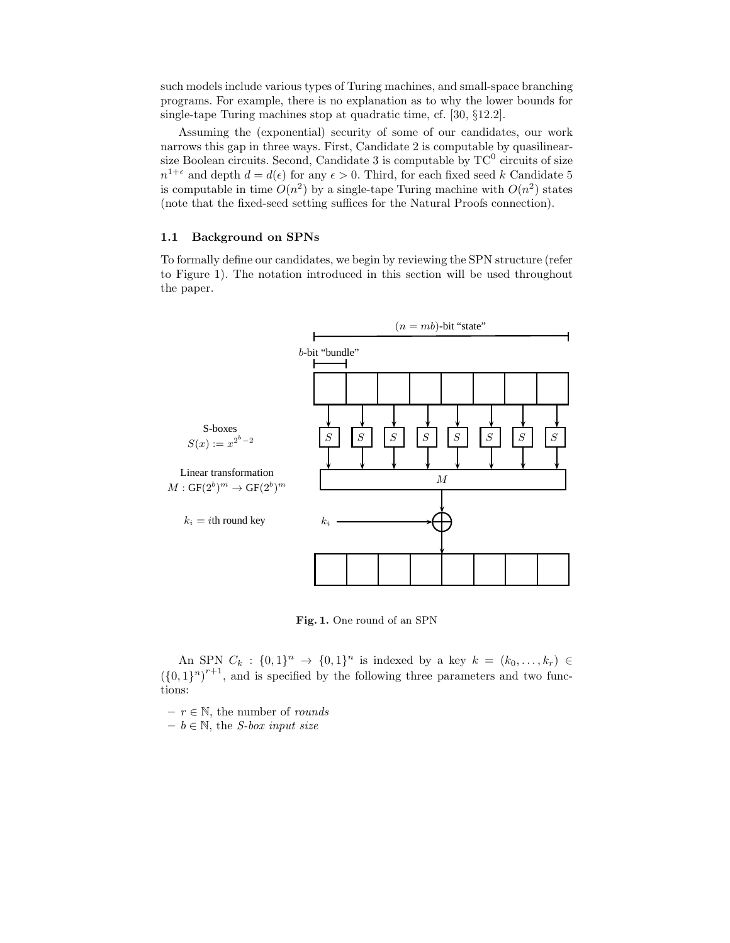such models include various types of Turing machines, and small-space branching programs. For example, there is no explanation as to why the lower bounds for single-tape Turing machines stop at quadratic time, cf. [30, §12.2].

Assuming the (exponential) security of some of our candidates, our work narrows this gap in three ways. First, Candidate 2 is computable by quasilinearsize Boolean circuits. Second, Candidate 3 is computable by  $TC^0$  circuits of size  $n^{1+\epsilon}$  and depth  $d = d(\epsilon)$  for any  $\epsilon > 0$ . Third, for each fixed seed k Candidate 5 is computable in time  $O(n^2)$  by a single-tape Turing machine with  $O(n^2)$  states (note that the fixed-seed setting suffices for the Natural Proofs connection).

### 1.1 Background on SPNs

To formally define our candidates, we begin by reviewing the SPN structure (refer to Figure 1). The notation introduced in this section will be used throughout the paper.



Fig. 1. One round of an SPN

An SPN  $C_k : \{0,1\}^n \to \{0,1\}^n$  is indexed by a key  $k = (k_0, \ldots, k_r) \in$  $({0,1}^n)^{r+1}$ , and is specified by the following three parameters and two functions:

–  $r \in \mathbb{N}$ , the number of *rounds* 

 $- b \in \mathbb{N}$ , the *S-box input size*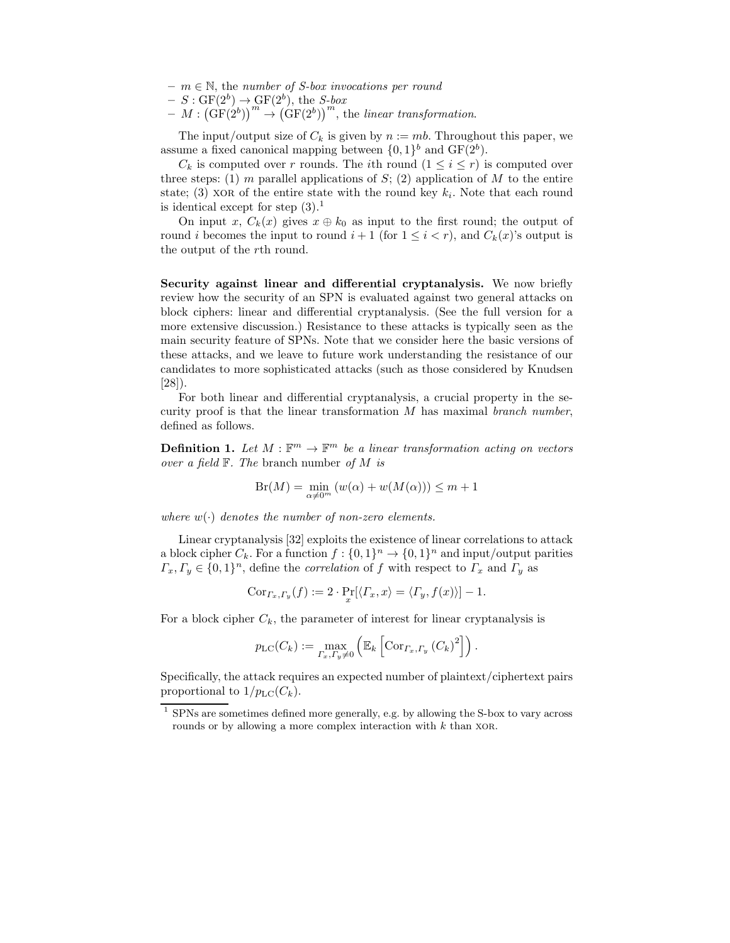- $m \in \mathbb{N}$ , the number of S-box invocations per round
- $S: GF(2^b) \rightarrow GF(2^b),$  the S-box
- $-M : (\text{GF}(2^b))^m \to (\text{GF}(2^b))^m$ , the linear transformation.

The input/output size of  $C_k$  is given by  $n := mb$ . Throughout this paper, we assume a fixed canonical mapping between  $\{0,1\}^b$  and  $GF(2^b)$ .

 $C_k$  is computed over r rounds. The *i*th round  $(1 \leq i \leq r)$  is computed over three steps: (1) m parallel applications of  $S$ ; (2) application of M to the entire state; (3) XOR of the entire state with the round key  $k_i$ . Note that each round is identical except for step  $(3)$ .<sup>1</sup>

On input x,  $C_k(x)$  gives  $x \oplus k_0$  as input to the first round; the output of round i becomes the input to round  $i + 1$  (for  $1 \leq i < r$ ), and  $C_k(x)$ 's output is the output of the rth round.

Security against linear and differential cryptanalysis. We now briefly review how the security of an SPN is evaluated against two general attacks on block ciphers: linear and differential cryptanalysis. (See the full version for a more extensive discussion.) Resistance to these attacks is typically seen as the main security feature of SPNs. Note that we consider here the basic versions of these attacks, and we leave to future work understanding the resistance of our candidates to more sophisticated attacks (such as those considered by Knudsen [28]).

For both linear and differential cryptanalysis, a crucial property in the security proof is that the linear transformation  $M$  has maximal *branch number*, defined as follows.

**Definition 1.** Let  $M : \mathbb{F}^m \to \mathbb{F}^m$  be a linear transformation acting on vectors over a field  $\mathbb F$ . The branch number of M is

$$
Br(M) = \min_{\alpha \neq 0^m} (w(\alpha) + w(M(\alpha))) \le m + 1
$$

where  $w(\cdot)$  denotes the number of non-zero elements.

Linear cryptanalysis [32] exploits the existence of linear correlations to attack a block cipher  $C_k$ . For a function  $f: \{0,1\}^n \to \{0,1\}^n$  and input/output parities  $\Gamma_x, \Gamma_y \in \{0,1\}^n$ , define the *correlation* of f with respect to  $\Gamma_x$  and  $\Gamma_y$  as

$$
Cor_{\varGamma_x,\varGamma_y}(f) := 2 \cdot \Pr_x[\langle \varGamma_x, x \rangle = \langle \varGamma_y, f(x) \rangle] - 1.
$$

For a block cipher  $C_k$ , the parameter of interest for linear cryptanalysis is

$$
p_{\rm LC}(C_k) := \max_{\Gamma_x, \Gamma_y \neq 0} \left( \mathbb{E}_k \left[ \operatorname{Cor}_{\Gamma_x, \Gamma_y} (C_k)^2 \right] \right).
$$

Specifically, the attack requires an expected number of plaintext/ciphertext pairs proportional to  $1/p_{\text{LC}}(C_k)$ .

<sup>&</sup>lt;sup>1</sup> SPNs are sometimes defined more generally, e.g. by allowing the S-box to vary across rounds or by allowing a more complex interaction with k than XOR.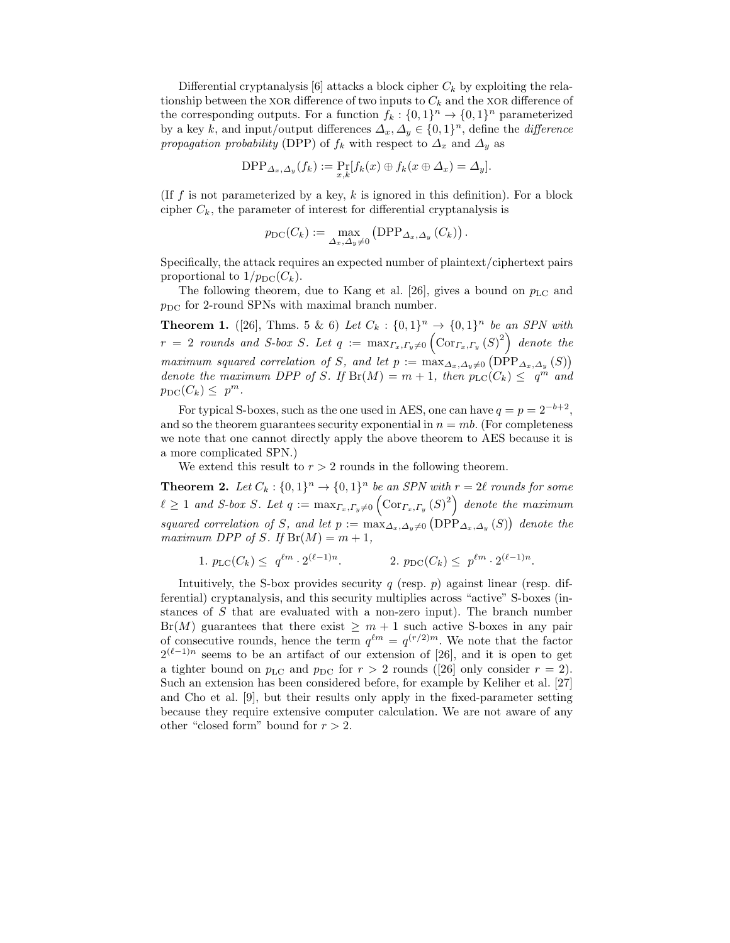Differential cryptanalysis [6] attacks a block cipher  $C_k$  by exploiting the relationship between the xor difference of two inputs to  $C_k$  and the xor difference of the corresponding outputs. For a function  $f_k: \{0,1\}^n \to \{0,1\}^n$  parameterized by a key k, and input/output differences  $\Delta_x, \Delta_y \in \{0,1\}^n$ , define the *difference propagation probability* (DPP) of  $f_k$  with respect to  $\Delta_x$  and  $\Delta_y$  as

$$
\text{DPP}_{\Delta_x,\Delta_y}(f_k) := \Pr_{x,k}[f_k(x) \oplus f_k(x \oplus \Delta_x) = \Delta_y].
$$

(If  $f$  is not parameterized by a key,  $k$  is ignored in this definition). For a block cipher  $C_k$ , the parameter of interest for differential cryptanalysis is

$$
p_{\rm DC}(C_k) := \max_{\Delta_x, \Delta_y \neq 0} \left( {\rm DPP}_{\Delta_x, \Delta_y} (C_k) \right).
$$

Specifically, the attack requires an expected number of plaintext/ciphertext pairs proportional to  $1/p_{\text{DC}}(C_k)$ .

The following theorem, due to Kang et al. [26], gives a bound on  $p_{\text{LC}}$  and  $p_{\rm DC}$  for 2-round SPNs with maximal branch number.

**Theorem 1.** ([26], Thms. 5 & 6) Let  $C_k : \{0,1\}^n \to \{0,1\}^n$  be an SPN with  $r = 2$  rounds and S-box S. Let  $q := \max_{\Gamma_x, \Gamma_y \neq 0} \left( \text{Cor}_{\Gamma_x, \Gamma_y} (S)^2 \right)$  denote the maximum squared correlation of S, and let  $p := \max_{\Delta_x, \Delta_y \neq 0} (\text{DPP}_{\Delta_x, \Delta_y}(S))$ denote the maximum DPP of S. If  $Br(M) = m + 1$ , then  $p_{LC}(C_k) \leq q^m$  and  $p_{\text{DC}}(C_k) \leq p^m$ .

For typical S-boxes, such as the one used in AES, one can have  $q = p = 2^{-b+2}$ , and so the theorem guarantees security exponential in  $n = mb$ . (For completeness we note that one cannot directly apply the above theorem to AES because it is a more complicated SPN.)

We extend this result to  $r > 2$  rounds in the following theorem.

**Theorem 2.** Let  $C_k$ :  $\{0,1\}^n \to \{0,1\}^n$  be an SPN with  $r = 2\ell$  rounds for some  $\ell \geq 1$  and S-box S. Let  $q := \max_{\Gamma_x, \Gamma_y \neq 0} (\text{Cor}_{\Gamma_x, \Gamma_y}(S)^2)$  denote the maximum squared correlation of S, and let  $p := \max_{\Delta_x, \Delta_y \neq 0} (\text{DPP}_{\Delta_x, \Delta_y}(S))$  denote the maximum DPP of S. If  $Br(M) = m + 1$ ,

1. 
$$
p_{\text{LC}}(C_k) \leq q^{\ell m} \cdot 2^{(\ell-1)n}
$$
. 2.  $p_{\text{DC}}(C_k) \leq p^{\ell m} \cdot 2^{(\ell-1)n}$ .

Intuitively, the S-box provides security  $q$  (resp.  $p$ ) against linear (resp. differential) cryptanalysis, and this security multiplies across "active" S-boxes (instances of S that are evaluated with a non-zero input). The branch number  $Br(M)$  guarantees that there exist  $\geq m+1$  such active S-boxes in any pair of consecutive rounds, hence the term  $q^{\ell m} = q^{(r/2)m}$ . We note that the factor  $2^{(\ell-1)n}$  seems to be an artifact of our extension of [26], and it is open to get a tighter bound on  $p_{\text{LC}}$  and  $p_{\text{DC}}$  for  $r > 2$  rounds ([26] only consider  $r = 2$ ). Such an extension has been considered before, for example by Keliher et al. [27] and Cho et al. [9], but their results only apply in the fixed-parameter setting because they require extensive computer calculation. We are not aware of any other "closed form" bound for  $r > 2$ .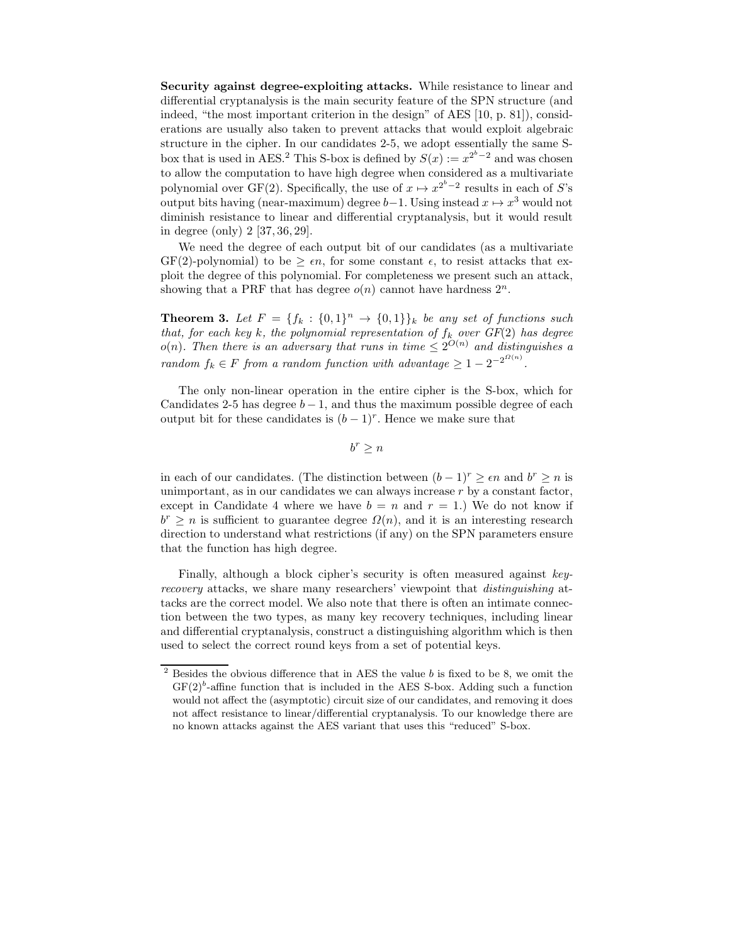Security against degree-exploiting attacks. While resistance to linear and differential cryptanalysis is the main security feature of the SPN structure (and indeed, "the most important criterion in the design" of AES [10, p. 81]), considerations are usually also taken to prevent attacks that would exploit algebraic structure in the cipher. In our candidates 2-5, we adopt essentially the same Sbox that is used in AES.<sup>2</sup> This S-box is defined by  $S(x) := x^{2^b-2}$  and was chosen to allow the computation to have high degree when considered as a multivariate polynomial over GF(2). Specifically, the use of  $x \mapsto x^{2^b-2}$  results in each of S's output bits having (near-maximum) degree  $b-1$ . Using instead  $x \mapsto x^3$  would not diminish resistance to linear and differential cryptanalysis, but it would result in degree (only) 2 [37, 36, 29].

We need the degree of each output bit of our candidates (as a multivariate GF(2)-polynomial) to be  $\geq \epsilon n$ , for some constant  $\epsilon$ , to resist attacks that exploit the degree of this polynomial. For completeness we present such an attack, showing that a PRF that has degree  $o(n)$  cannot have hardness  $2^n$ .

**Theorem 3.** Let  $F = \{f_k : \{0,1\}^n \to \{0,1\}\}_k$  be any set of functions such that, for each key k, the polynomial representation of  $f_k$  over  $GF(2)$  has degree  $o(n)$ . Then there is an adversary that runs in time  $\leq 2^{O(n)}$  and distinguishes a random  $f_k \in F$  from a random function with advantage  $\geq 1 - 2^{-2^{O(n)}}$ .

The only non-linear operation in the entire cipher is the S-box, which for Candidates 2-5 has degree  $b-1$ , and thus the maximum possible degree of each output bit for these candidates is  $(b-1)^r$ . Hence we make sure that

 $b^r \geq n$ 

in each of our candidates. (The distinction between  $(b-1)^r \geq \epsilon n$  and  $b^r \geq n$  is unimportant, as in our candidates we can always increase  $r$  by a constant factor, except in Candidate 4 where we have  $b = n$  and  $r = 1$ .) We do not know if  $b^r \geq n$  is sufficient to guarantee degree  $\Omega(n)$ , and it is an interesting research direction to understand what restrictions (if any) on the SPN parameters ensure that the function has high degree.

Finally, although a block cipher's security is often measured against keyrecovery attacks, we share many researchers' viewpoint that *distinguishing* attacks are the correct model. We also note that there is often an intimate connection between the two types, as many key recovery techniques, including linear and differential cryptanalysis, construct a distinguishing algorithm which is then used to select the correct round keys from a set of potential keys.

 $2$  Besides the obvious difference that in AES the value b is fixed to be 8, we omit the  $GF(2)<sup>b</sup>$ -affine function that is included in the AES S-box. Adding such a function would not affect the (asymptotic) circuit size of our candidates, and removing it does not affect resistance to linear/differential cryptanalysis. To our knowledge there are no known attacks against the AES variant that uses this "reduced" S-box.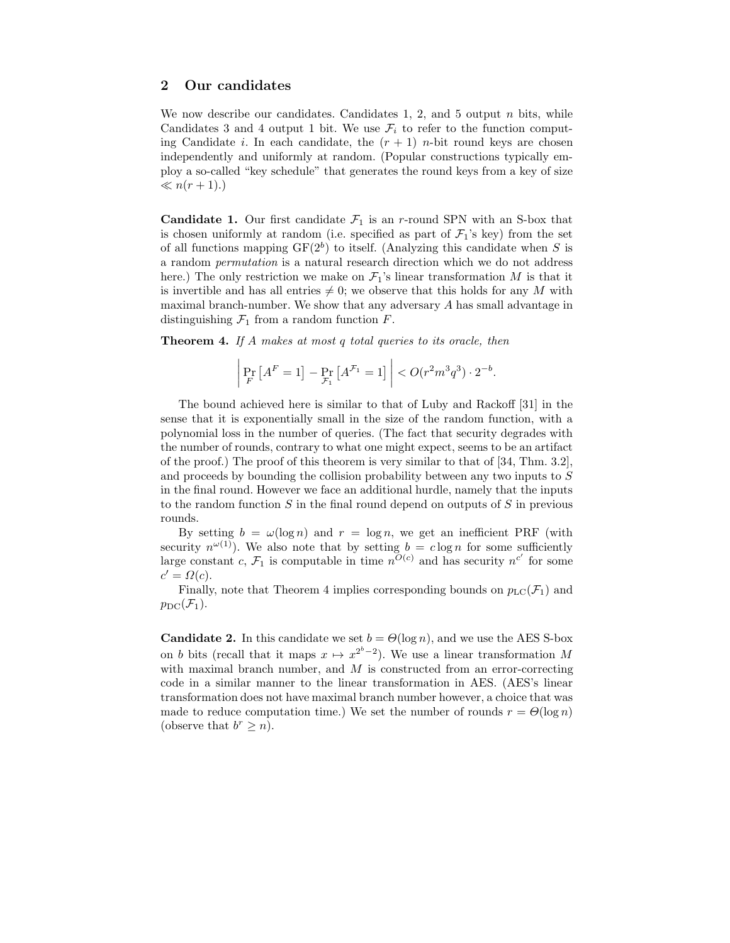# 2 Our candidates

We now describe our candidates. Candidates 1, 2, and 5 output  $n$  bits, while Candidates 3 and 4 output 1 bit. We use  $\mathcal{F}_i$  to refer to the function computing Candidate *i*. In each candidate, the  $(r + 1)$  *n*-bit round keys are chosen independently and uniformly at random. (Popular constructions typically employ a so-called "key schedule" that generates the round keys from a key of size  $\ll n(r+1)$ .

**Candidate 1.** Our first candidate  $\mathcal{F}_1$  is an r-round SPN with an S-box that is chosen uniformly at random (i.e. specified as part of  $\mathcal{F}_1$ 's key) from the set of all functions mapping  $GF(2<sup>b</sup>)$  to itself. (Analyzing this candidate when S is a random permutation is a natural research direction which we do not address here.) The only restriction we make on  $\mathcal{F}_1$ 's linear transformation M is that it is invertible and has all entries  $\neq 0$ ; we observe that this holds for any M with maximal branch-number. We show that any adversary A has small advantage in distinguishing  $\mathcal{F}_1$  from a random function  $F$ .

Theorem 4. If A makes at most q total queries to its oracle, then

$$
\left|\Pr_{F}\left[A^{F}=1\right]-\Pr_{\mathcal{F}_{1}}\left[A^{\mathcal{F}_{1}}=1\right]\right|
$$

The bound achieved here is similar to that of Luby and Rackoff [31] in the sense that it is exponentially small in the size of the random function, with a polynomial loss in the number of queries. (The fact that security degrades with the number of rounds, contrary to what one might expect, seems to be an artifact of the proof.) The proof of this theorem is very similar to that of  $[34, Thm. 3.2]$ , and proceeds by bounding the collision probability between any two inputs to S in the final round. However we face an additional hurdle, namely that the inputs to the random function  $S$  in the final round depend on outputs of  $S$  in previous rounds.

By setting  $b = \omega(\log n)$  and  $r = \log n$ , we get an inefficient PRF (with security  $n^{\omega(1)}$ ). We also note that by setting  $b = c \log n$  for some sufficiently large constant c,  $\mathcal{F}_1$  is computable in time  $n^{O(c)}$  and has security  $n^{c'}$  for some  $c' = \Omega(c).$ 

Finally, note that Theorem 4 implies corresponding bounds on  $p_{\text{LC}}(\mathcal{F}_1)$  and  $p_{\text{DC}}(\mathcal{F}_1)$ .

**Candidate 2.** In this candidate we set  $b = \Theta(\log n)$ , and we use the AES S-box on b bits (recall that it maps  $x \mapsto x^{2^b-2}$ ). We use a linear transformation M with maximal branch number, and  $M$  is constructed from an error-correcting code in a similar manner to the linear transformation in AES. (AES's linear transformation does not have maximal branch number however, a choice that was made to reduce computation time.) We set the number of rounds  $r = \Theta(\log n)$ (observe that  $b^r \geq n$ ).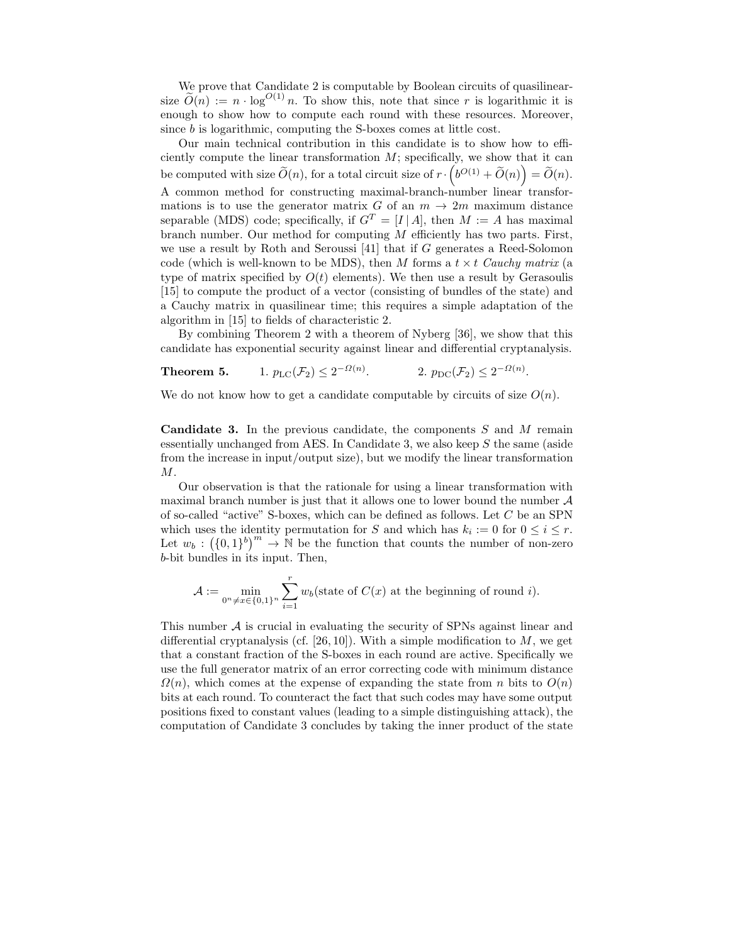We prove that Candidate 2 is computable by Boolean circuits of quasilinearsize  $\widetilde{O}(n) := n \cdot \log^{O(1)} n$ . To show this, note that since r is logarithmic it is enough to show how to compute each round with these resources. Moreover, since b is logarithmic, computing the S-boxes comes at little cost.

Our main technical contribution in this candidate is to show how to efficiently compute the linear transformation  $M$ ; specifically, we show that it can be computed with size  $\widetilde{O}(n)$ , for a total circuit size of  $r \cdot (b^{O(1)} + \widetilde{O}(n)) = \widetilde{O}(n)$ . A common method for constructing maximal-branch-number linear transformations is to use the generator matrix G of an  $m \to 2m$  maximum distance separable (MDS) code; specifically, if  $G<sup>T</sup> = [I | A]$ , then  $M := A$  has maximal branch number. Our method for computing  $M$  efficiently has two parts. First, we use a result by Roth and Seroussi [41] that if G generates a Reed-Solomon code (which is well-known to be MDS), then M forms a  $t \times t$  Cauchy matrix (a type of matrix specified by  $O(t)$  elements). We then use a result by Gerasoulis [15] to compute the product of a vector (consisting of bundles of the state) and a Cauchy matrix in quasilinear time; this requires a simple adaptation of the algorithm in [15] to fields of characteristic 2.

By combining Theorem 2 with a theorem of Nyberg [36], we show that this candidate has exponential security against linear and differential cryptanalysis.

**Theorem 5.** 1.  $p_{\text{LC}}(\mathcal{F}_2) \leq 2^{-\Omega(n)}$ . 2.  $p_{DC}(\mathcal{F}_2) \leq 2^{-\Omega(n)}$ .

We do not know how to get a candidate computable by circuits of size  $O(n)$ .

**Candidate 3.** In the previous candidate, the components  $S$  and  $M$  remain essentially unchanged from AES. In Candidate 3, we also keep S the same (aside from the increase in input/output size), but we modify the linear transformation  $M$ .

Our observation is that the rationale for using a linear transformation with maximal branch number is just that it allows one to lower bound the number  $A$ of so-called "active" S-boxes, which can be defined as follows. Let C be an SPN which uses the identity permutation for S and which has  $k_i := 0$  for  $0 \le i \le r$ . Let  $w_b: (\{0,1\}^b)^m \to \mathbb{N}$  be the function that counts the number of non-zero b-bit bundles in its input. Then,

$$
\mathcal{A} := \min_{0^n \neq x \in \{0,1\}^n} \sum_{i=1}^r w_b(\text{state of } C(x) \text{ at the beginning of round } i).
$$

This number A is crucial in evaluating the security of SPNs against linear and differential cryptanalysis (cf.  $[26, 10]$ ). With a simple modification to M, we get that a constant fraction of the S-boxes in each round are active. Specifically we use the full generator matrix of an error correcting code with minimum distance  $\Omega(n)$ , which comes at the expense of expanding the state from n bits to  $O(n)$ bits at each round. To counteract the fact that such codes may have some output positions fixed to constant values (leading to a simple distinguishing attack), the computation of Candidate 3 concludes by taking the inner product of the state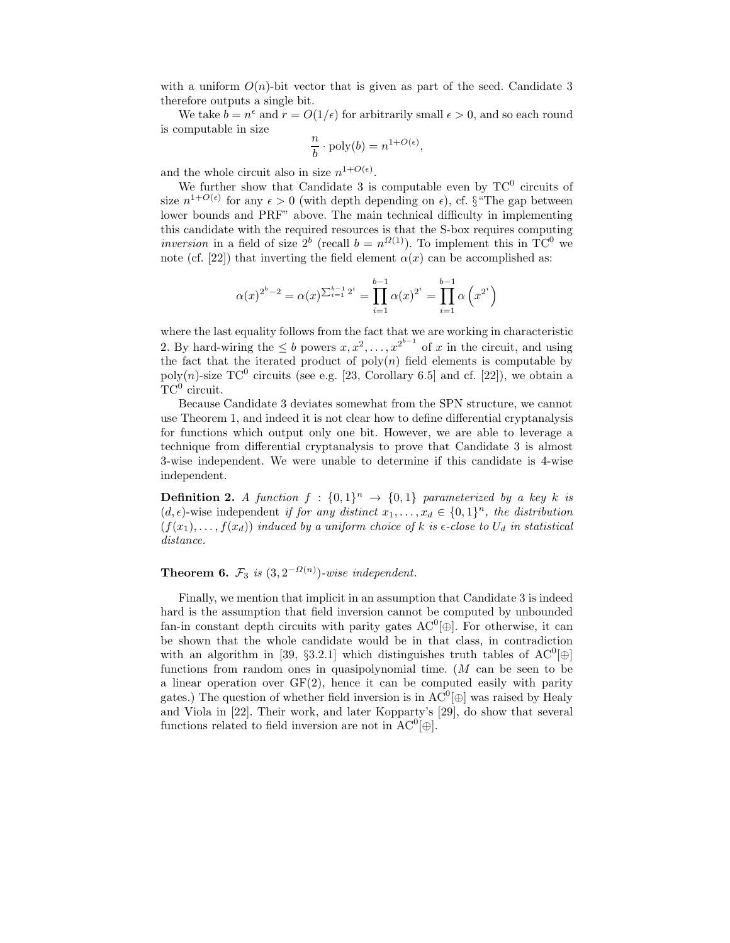with a uniform  $O(n)$ -bit vector that is given as part of the seed. Candidate 3 therefore outputs a single bit.

We take  $b = n^{\epsilon}$  and  $r = O(1/\epsilon)$  for arbitrarily small  $\epsilon > 0$ , and so each round is computable in size

$$
\frac{n}{b} \cdot \text{poly}(b) = n^{1 + O(\epsilon)},
$$

and the whole circuit also in size  $n^{1+O(\epsilon)}$ .

We further show that Candidate 3 is computable even by  $TC^0$  circuits of size  $n^{1+O(\epsilon)}$  for any  $\epsilon > 0$  (with depth depending on  $\epsilon$ ), cf. § "The gap between lower bounds and PRF" above. The main technical difficulty in implementing this candidate with the required resources is that the S-box requires computing inversion in a field of size  $2^b$  (recall  $b = n^{\Omega(1)}$ ). To implement this in TC<sup>0</sup> we note (cf. [22]) that inverting the field element  $\alpha(x)$  can be accomplished as:

$$
\alpha(x)^{2^b - 2} = \alpha(x)^{\sum_{i=1}^{b-1} 2^i} = \prod_{i=1}^{b-1} \alpha(x)^{2^i} = \prod_{i=1}^{b-1} \alpha(x^{2^i})
$$

where the last equality follows from the fact that we are working in characteristic 2. By hard-wiring the  $\leq b$  powers  $x, x^2, \ldots, x^{2^{b-1}}$  of x in the circuit, and using the fact that the iterated product of  $poly(n)$  field elements is computable by poly(n)-size  $TC^0$  circuits (see e.g. [23, Corollary 6.5] and cf. [22]), we obtain a  $TC^0$  circuit.

Because Candidate 3 deviates somewhat from the SPN structure, we cannot use Theorem 1, and indeed it is not clear how to define differential cryptanalysis for functions which output only one bit. However, we are able to leverage a technique from differential cryptanalysis to prove that Candidate 3 is almost 3-wise independent. We were unable to determine if this candidate is 4-wise independent.

**Definition 2.** A function  $f : \{0,1\}^n \rightarrow \{0,1\}$  parameterized by a key k is  $(d, \epsilon)$ -wise independent if for any distinct  $x_1, \ldots, x_d \in \{0,1\}^n$ , the distribution  $(f(x_1), \ldots, f(x_d))$  induced by a uniform choice of k is  $\epsilon$ -close to  $U_d$  in statistical distance.

# **Theorem 6.**  $\mathcal{F}_3$  is  $(3, 2^{-\Omega(n)})$ -wise independent.

Finally, we mention that implicit in an assumption that Candidate 3 is indeed hard is the assumption that field inversion cannot be computed by unbounded fan-in constant depth circuits with parity gates  $AC^0[\oplus]$ . For otherwise, it can be shown that the whole candidate would be in that class, in contradiction with an algorithm in [39, §3.2.1] which distinguishes truth tables of  $AC^0[\oplus]$ functions from random ones in quasipolynomial time.  $(M \text{ can be seen to be})$ a linear operation over  $GF(2)$ , hence it can be computed easily with parity gates.) The question of whether field inversion is in  $AC^0[\oplus]$  was raised by Healy and Viola in [22]. Their work, and later Kopparty's [29], do show that several functions related to field inversion are not in  $AC^0[\oplus]$ .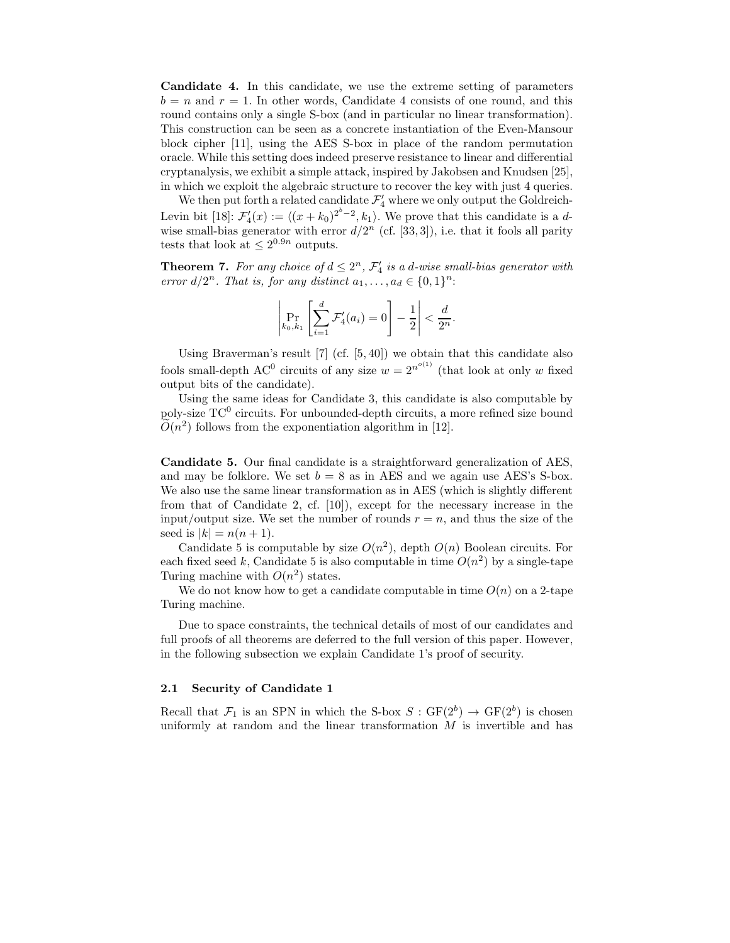Candidate 4. In this candidate, we use the extreme setting of parameters  $b = n$  and  $r = 1$ . In other words, Candidate 4 consists of one round, and this round contains only a single S-box (and in particular no linear transformation). This construction can be seen as a concrete instantiation of the Even-Mansour block cipher [11], using the AES S-box in place of the random permutation oracle. While this setting does indeed preserve resistance to linear and differential cryptanalysis, we exhibit a simple attack, inspired by Jakobsen and Knudsen [25], in which we exploit the algebraic structure to recover the key with just 4 queries.

We then put forth a related candidate  $\mathcal{F}'_4$  where we only output the Goldreich-Levin bit [18]:  $\mathcal{F}'_4(x) := \langle (x + k_0)^{2^b - 2}, k_1 \rangle$ . We prove that this candidate is a dwise small-bias generator with error  $d/2^n$  (cf. [33, 3]), i.e. that it fools all parity tests that look at  $\leq 2^{0.9n}$  outputs.

**Theorem 7.** For any choice of  $d \leq 2^n$ ,  $\mathcal{F}'_4$  is a d-wise small-bias generator with error  $d/2^n$ . That is, for any distinct  $a_1, \ldots, a_d \in \{0,1\}^n$ :

$$
\left|\Pr_{k_0,k_1}\left[\sum_{i=1}^d \mathcal{F}_4'(a_i)=0\right]-\frac{1}{2}\right|<\frac{d}{2^n}.
$$

Using Braverman's result [7] (cf. [5, 40]) we obtain that this candidate also fools small-depth AC<sup>0</sup> circuits of any size  $w = 2^{n^{o(1)}}$  (that look at only w fixed output bits of the candidate).

Using the same ideas for Candidate 3, this candidate is also computable by poly-size  $TC^0$  circuits. For unbounded-depth circuits, a more refined size bound  $\widetilde{O}(n^2)$  follows from the exponentiation algorithm in [12].

Candidate 5. Our final candidate is a straightforward generalization of AES, and may be folklore. We set  $b = 8$  as in AES and we again use AES's S-box. We also use the same linear transformation as in AES (which is slightly different from that of Candidate 2, cf. [10]), except for the necessary increase in the input/output size. We set the number of rounds  $r = n$ , and thus the size of the seed is  $|k| = n(n + 1)$ .

Candidate 5 is computable by size  $O(n^2)$ , depth  $O(n)$  Boolean circuits. For each fixed seed k, Candidate 5 is also computable in time  $O(n^2)$  by a single-tape Turing machine with  $O(n^2)$  states.

We do not know how to get a candidate computable in time  $O(n)$  on a 2-tape Turing machine.

Due to space constraints, the technical details of most of our candidates and full proofs of all theorems are deferred to the full version of this paper. However, in the following subsection we explain Candidate 1's proof of security.

#### 2.1 Security of Candidate 1

Recall that  $\mathcal{F}_1$  is an SPN in which the S-box  $S: GF(2^b) \to GF(2^b)$  is chosen uniformly at random and the linear transformation  $M$  is invertible and has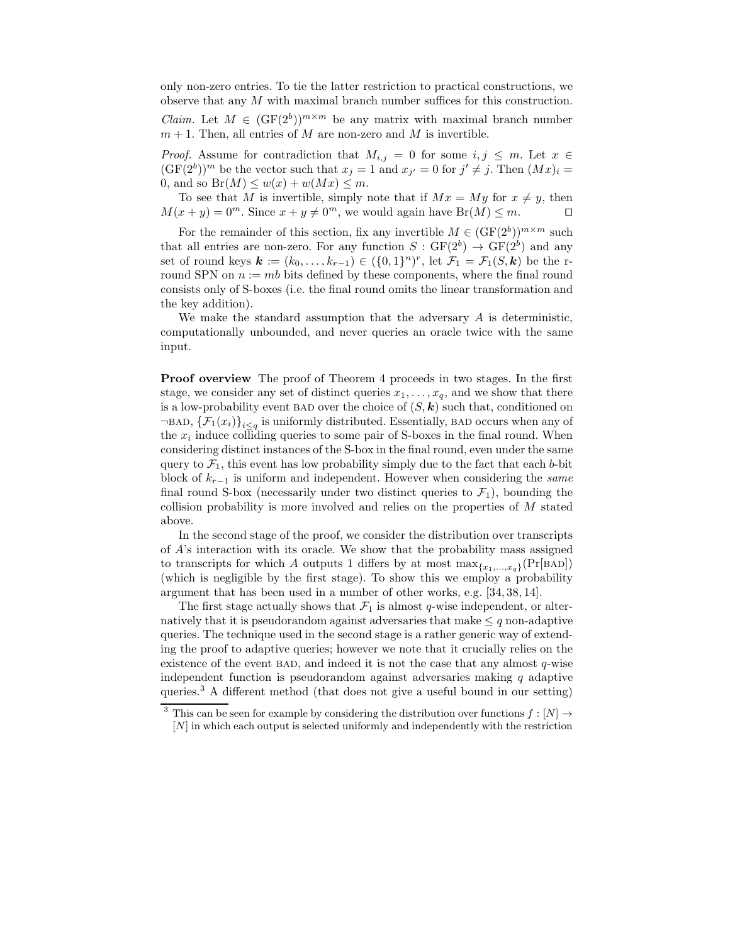only non-zero entries. To tie the latter restriction to practical constructions, we observe that any M with maximal branch number suffices for this construction.

*Claim.* Let  $M \in (\mathbb{GF}(2^b))^{m \times m}$  be any matrix with maximal branch number  $m + 1$ . Then, all entries of M are non-zero and M is invertible.

*Proof.* Assume for contradiction that  $M_{i,j} = 0$  for some  $i, j \leq m$ . Let  $x \in$  $(GF(2^b))^m$  be the vector such that  $x_j = 1$  and  $x_{j'} = 0$  for  $j' \neq j$ . Then  $(Mx)_i =$ 0, and so  $Br(M) \leq w(x) + w(Mx) \leq m$ .

To see that M is invertible, simply note that if  $Mx = My$  for  $x \neq y$ , then  $M(x + y) = 0^m$ . Since  $x + y \neq 0^m$ , we would again have Br $(M) \leq m$ . □

For the remainder of this section, fix any invertible  $M \in (\mathbb{GF}(2^b))^{m \times m}$  such that all entries are non-zero. For any function  $S: GF(2^b) \to GF(2^b)$  and any set of round keys  $\mathbf{k} := (k_0, \ldots, k_{r-1}) \in (\{0,1\}^n)^r$ , let  $\mathcal{F}_1 = \mathcal{F}_1(S, \mathbf{k})$  be the rround SPN on  $n := mb$  bits defined by these components, where the final round consists only of S-boxes (i.e. the final round omits the linear transformation and the key addition).

We make the standard assumption that the adversary  $A$  is deterministic, computationally unbounded, and never queries an oracle twice with the same input.

Proof overview The proof of Theorem 4 proceeds in two stages. In the first stage, we consider any set of distinct queries  $x_1, \ldots, x_q$ , and we show that there is a low-probability event BAD over the choice of  $(S, \mathbf{k})$  such that, conditioned on  $\neg$ BAD,  $\{\mathcal{F}_1(x_i)\}_{i\leq q}$  is uniformly distributed. Essentially, BAD occurs when any of the  $x_i$  induce colliding queries to some pair of S-boxes in the final round. When considering distinct instances of the S-box in the final round, even under the same query to  $\mathcal{F}_1$ , this event has low probability simply due to the fact that each b-bit block of  $k_{r-1}$  is uniform and independent. However when considering the same final round S-box (necessarily under two distinct queries to  $\mathcal{F}_1$ ), bounding the collision probability is more involved and relies on the properties of M stated above.

In the second stage of the proof, we consider the distribution over transcripts of A's interaction with its oracle. We show that the probability mass assigned to transcripts for which A outputs 1 differs by at most  $\max_{\{x_1,\ldots,x_n\}}(Pr[BAD])$ (which is negligible by the first stage). To show this we employ a probability argument that has been used in a number of other works, e.g. [34, 38, 14].

The first stage actually shows that  $\mathcal{F}_1$  is almost q-wise independent, or alternatively that it is pseudorandom against adversaries that make  $\leq q$  non-adaptive queries. The technique used in the second stage is a rather generic way of extending the proof to adaptive queries; however we note that it crucially relies on the existence of the event BAD, and indeed it is not the case that any almost  $q$ -wise independent function is pseudorandom against adversaries making  $q$  adaptive queries.<sup>3</sup> A different method (that does not give a useful bound in our setting)

<sup>&</sup>lt;sup>3</sup> This can be seen for example by considering the distribution over functions  $f : [N] \rightarrow$ [N] in which each output is selected uniformly and independently with the restriction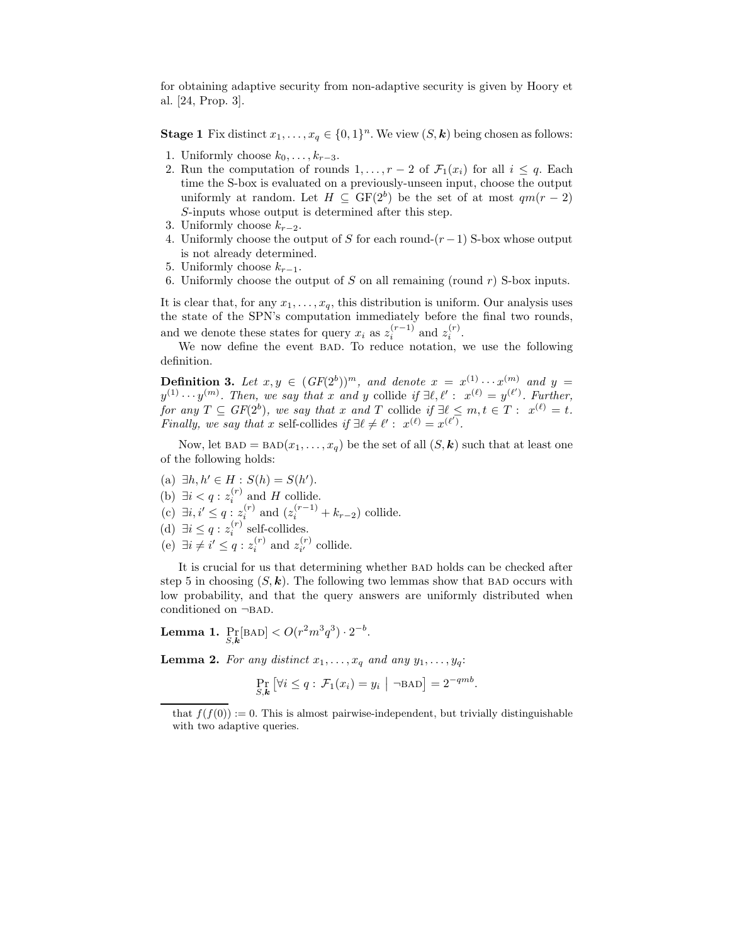for obtaining adaptive security from non-adaptive security is given by Hoory et al. [24, Prop. 3].

**Stage 1** Fix distinct  $x_1, \ldots, x_q \in \{0, 1\}^n$ . We view  $(S, \mathbf{k})$  being chosen as follows:

- 1. Uniformly choose  $k_0, \ldots, k_{r-3}$ .
- 2. Run the computation of rounds  $1, \ldots, r-2$  of  $\mathcal{F}_1(x_i)$  for all  $i \leq q$ . Each time the S-box is evaluated on a previously-unseen input, choose the output uniformly at random. Let  $H \subseteq GF(2^b)$  be the set of at most  $qm(r-2)$ S-inputs whose output is determined after this step.
- 3. Uniformly choose  $k_{r-2}$ .
- 4. Uniformly choose the output of S for each round- $(r-1)$  S-box whose output is not already determined.
- 5. Uniformly choose  $k_{r-1}$ .
- 6. Uniformly choose the output of  $S$  on all remaining (round  $r$ ) S-box inputs.

It is clear that, for any  $x_1, \ldots, x_q$ , this distribution is uniform. Our analysis uses the state of the SPN's computation immediately before the final two rounds, and we denote these states for query  $x_i$  as  $z_i^{(r-1)}$  and  $z_i^{(r)}$ .

We now define the event BAD. To reduce notation, we use the following definition.

**Definition 3.** Let  $x, y \in (GF(2^b))^m$ , and denote  $x = x^{(1)} \cdots x^{(m)}$  and  $y =$  $y^{(1)} \cdots y^{(m)}$ . Then, we say that x and y collide if  $\exists \ell, \ell' : x^{(\ell)} = y^{(\ell')}$ . Further, for any  $T \subseteq GF(2^b)$ , we say that x and T collide if  $\exists \ell \leq m, t \in T : x^{(\ell)} = t$ . Finally, we say that x self-collides if  $\exists \ell \neq \ell' : x^{(\ell)} = x^{(\ell')}$ .

Now, let  $BAD = BAD(x_1, \ldots, x_q)$  be the set of all  $(S, \mathbf{k})$  such that at least one of the following holds:

- (a)  $\exists h, h' \in H : S(h) = S(h').$
- (b)  $\exists i < q : z_i^{(r)}$  and H collide.
- (c)  $\exists i, i' \leq q : z_i^{(r)} \text{ and } (z_i^{(r-1)} + k_{r-2}) \text{ collide.}$
- (d)  $\exists i \leq q : z_i^{(r)}$  self-collides.
- (e)  $\exists i \neq i' \leq q : z_i^{(r)}$  and  $z_{i'}^{(r)}$  $i'$  collide.

It is crucial for us that determining whether BAD holds can be checked after step 5 in choosing  $(S, \mathbf{k})$ . The following two lemmas show that BAD occurs with low probability, and that the query answers are uniformly distributed when conditioned on  $\neg$ BAD.

$$
Lemma 1. \Pr_{S,k}[\text{BAD}] < O(r^2m^3q^3) \cdot 2^{-b}.
$$

**Lemma 2.** For any distinct  $x_1, \ldots, x_q$  and any  $y_1, \ldots, y_q$ :

$$
\Pr_{S,k} [\forall i \le q : \mathcal{F}_1(x_i) = y_i \mid \neg \text{BAD}] = 2^{-qmb}.
$$

that  $f(f(0)) := 0$ . This is almost pairwise-independent, but trivially distinguishable with two adaptive queries.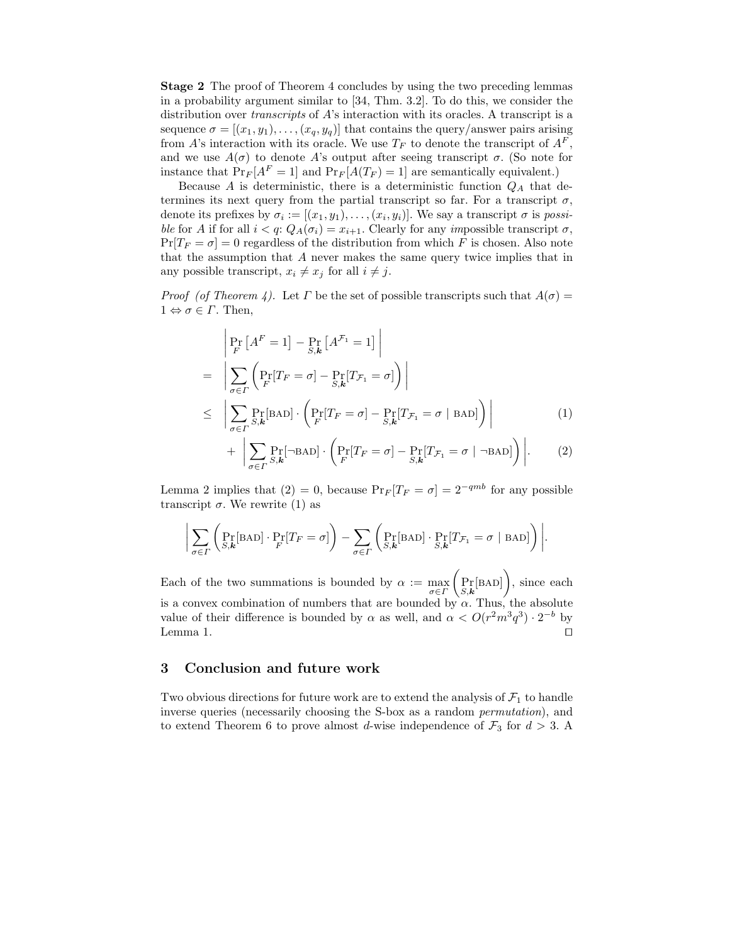Stage 2 The proof of Theorem 4 concludes by using the two preceding lemmas in a probability argument similar to [34, Thm. 3.2]. To do this, we consider the distribution over transcripts of A's interaction with its oracles. A transcript is a sequence  $\sigma = [(x_1, y_1), \ldots, (x_q, y_q)]$  that contains the query/answer pairs arising from A's interaction with its oracle. We use  $T_F$  to denote the transcript of  $A^F$ , and we use  $A(\sigma)$  to denote A's output after seeing transcript  $\sigma$ . (So note for instance that  $Pr_F[A^F = 1]$  and  $Pr_F[A(T_F) = 1]$  are semantically equivalent.)

Because A is deterministic, there is a deterministic function  $Q_A$  that determines its next query from the partial transcript so far. For a transcript  $\sigma$ , denote its prefixes by  $\sigma_i := [(x_1, y_1), \ldots, (x_i, y_i)]$ . We say a transcript  $\sigma$  is possible for A if for all  $i < q$ :  $Q_A(\sigma_i) = x_{i+1}$ . Clearly for any *impossible transcript*  $\sigma$ ,  $Pr[T_F = \sigma] = 0$  regardless of the distribution from which F is chosen. Also note that the assumption that A never makes the same query twice implies that in any possible transcript,  $x_i \neq x_j$  for all  $i \neq j$ .

*Proof (of Theorem 4).* Let  $\Gamma$  be the set of possible transcripts such that  $A(\sigma) =$  $1 \Leftrightarrow \sigma \in \Gamma$ . Then,

$$
\begin{aligned}\n& \left| \Pr_{F} \left[ A^{F} = 1 \right] - \Pr_{S,k} \left[ A^{F_{1}} = 1 \right] \right| \\
& = \left| \sum_{\sigma \in \Gamma} \left( \Pr_{F} [T_{F} = \sigma] - \Pr_{S,k} [T_{\mathcal{F}_{1}} = \sigma] \right) \right| \\
& \leq \left| \sum_{\sigma \in \Gamma} \Pr_{S,k} [\text{BAD}] \cdot \left( \Pr_{F} [T_{F} = \sigma] - \Pr_{S,k} [T_{\mathcal{F}_{1}} = \sigma \mid \text{BAD}] \right) \right| \\
& \left| \sum_{\sigma \in \Gamma} \Pr_{S,k} \left[ \sum_{\sigma \in \Gamma} \left[ T_{\sigma,k} - \sum_{\sigma \in \Gamma} [T_{\sigma,k} - \sum_{\sigma \in \Gamma} [T_{\sigma,k} - \sum_{\sigma \in \Gamma} [T_{\sigma,k} - \sum_{\sigma \in \Gamma} [T_{\sigma,k} - \sum_{\sigma \in \Gamma} [T_{\sigma,k} - \sum_{\sigma \in \Gamma} [T_{\sigma,k} - \sum_{\sigma \in \Gamma} [T_{\sigma,k} - \sum_{\sigma \in \Gamma} [T_{\sigma,k} - \sum_{\sigma \in \Gamma} [T_{\sigma,k} - \sum_{\sigma \in \Gamma} [T_{\sigma,k} - \sum_{\sigma \in \Gamma} [T_{\sigma,k} - \sum_{\sigma \in \Gamma} [T_{\sigma,k} - \sum_{\sigma \in \Gamma} [T_{\sigma,k} - \sum_{\sigma \in \Gamma} [T_{\sigma,k} - \sum_{\sigma \in \Gamma} [T_{\sigma,k} - \sum_{\sigma \in \Gamma} [T_{\sigma,k} - \sum_{\sigma \in \Gamma} [T_{\sigma,k} - \sum_{\sigma \in \Gamma} [T_{\sigma,k} - \sum_{\sigma \in \Gamma} [T_{\sigma,k} - \sum_{\sigma \in \Gamma} [T_{\sigma,k} - \sum_{\sigma \in \Gamma} [T_{\sigma,k} - \sum_{\sigma \in \Gamma} [T_{\sigma,k} - \sum_{\sigma \in \Gamma} [T_{\sigma,k} - \sum_{\sigma \in \Gamma} [T_{\sigma,k} - \sum_{\sigma \in \Gamma} [T_{\sigma,k} - \sum_{\sigma \in \Gamma} [T_{\sigma,k} - \sum_{\sigma \in \Gamma} [T_{\sigma,k} - \sum_{\sigma \in \Gamma} [T_{\sigma,k} - \sum_{\sigma \in \Gamma} [T
$$

$$
+ \left| \sum_{\sigma \in \Gamma} \Pr_{S, \mathbf{k}} [\neg \text{BAD}] \cdot \left( \Pr_{F} [T_F = \sigma] - \Pr_{S, \mathbf{k}} [T_{\mathcal{F}_1} = \sigma \mid \neg \text{BAD}] \right) \right|.
$$
 (2)

Lemma 2 implies that (2) = 0, because  $\Pr_F[T_F = \sigma] = 2^{-qmb}$  for any possible transcript  $\sigma$ . We rewrite (1) as

$$
\bigg|\sum_{\sigma\in\Gamma}\left(\Pr_{S,\mathbf{k}}[\mathrm{BAD}]\cdot\Pr_{F}[T_{F}=\sigma]\right)-\sum_{\sigma\in\Gamma}\left(\Pr_{S,\mathbf{k}}[\mathrm{BAD}]\cdot\Pr_{S,\mathbf{k}}[T_{\mathcal{F}_{1}}=\sigma\mid\mathrm{BAD}]\right)\bigg|.
$$

Each of the two summations is bounded by  $\alpha := \max_{\sigma \in \Gamma}$  $\sqrt{ }$  $\Pr_{S, k}[\text{BAD}]\bigg)$ , since each is a convex combination of numbers that are bounded by  $\alpha$ . Thus, the absolute value of their difference is bounded by  $\alpha$  as well, and  $\alpha < O(r^2 m^3 q^3) \cdot 2^{-b}$  by Lemma 1.  $□$ 

### 3 Conclusion and future work

Two obvious directions for future work are to extend the analysis of  $\mathcal{F}_1$  to handle inverse queries (necessarily choosing the S-box as a random permutation), and to extend Theorem 6 to prove almost d-wise independence of  $\mathcal{F}_3$  for  $d > 3$ . A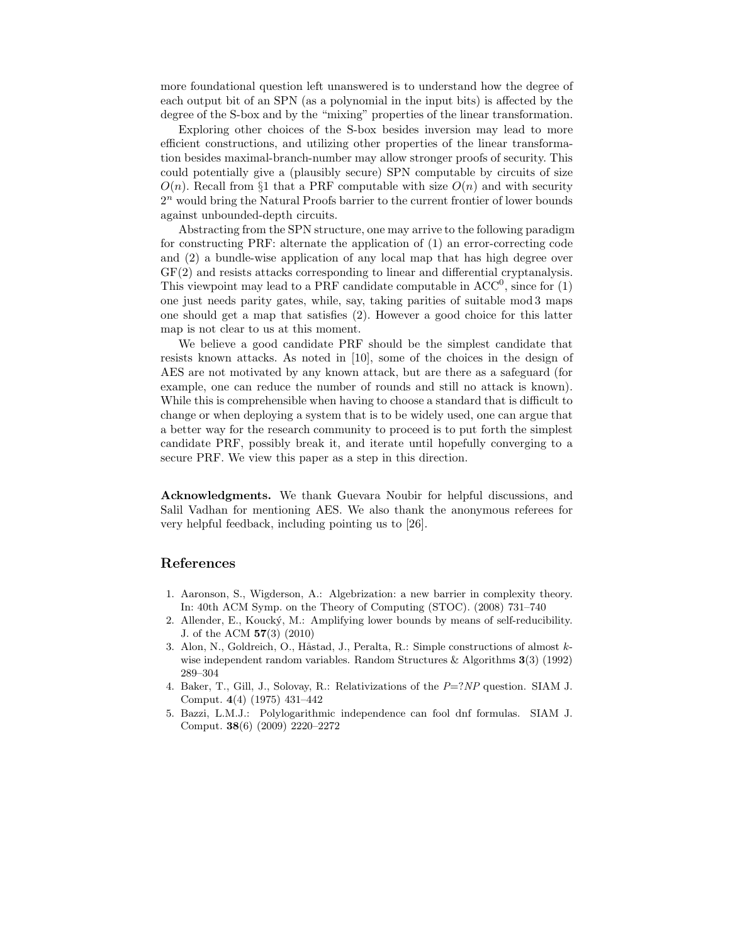more foundational question left unanswered is to understand how the degree of each output bit of an SPN (as a polynomial in the input bits) is affected by the degree of the S-box and by the "mixing" properties of the linear transformation.

Exploring other choices of the S-box besides inversion may lead to more efficient constructions, and utilizing other properties of the linear transformation besides maximal-branch-number may allow stronger proofs of security. This could potentially give a (plausibly secure) SPN computable by circuits of size  $O(n)$ . Recall from §1 that a PRF computable with size  $O(n)$  and with security 2 <sup>n</sup> would bring the Natural Proofs barrier to the current frontier of lower bounds against unbounded-depth circuits.

Abstracting from the SPN structure, one may arrive to the following paradigm for constructing PRF: alternate the application of (1) an error-correcting code and (2) a bundle-wise application of any local map that has high degree over GF(2) and resists attacks corresponding to linear and differential cryptanalysis. This viewpoint may lead to a PRF candidate computable in  $ACC^0$ , since for  $(1)$ one just needs parity gates, while, say, taking parities of suitable mod 3 maps one should get a map that satisfies (2). However a good choice for this latter map is not clear to us at this moment.

We believe a good candidate PRF should be the simplest candidate that resists known attacks. As noted in [10], some of the choices in the design of AES are not motivated by any known attack, but are there as a safeguard (for example, one can reduce the number of rounds and still no attack is known). While this is comprehensible when having to choose a standard that is difficult to change or when deploying a system that is to be widely used, one can argue that a better way for the research community to proceed is to put forth the simplest candidate PRF, possibly break it, and iterate until hopefully converging to a secure PRF. We view this paper as a step in this direction.

Acknowledgments. We thank Guevara Noubir for helpful discussions, and Salil Vadhan for mentioning AES. We also thank the anonymous referees for very helpful feedback, including pointing us to [26].

#### References

- 1. Aaronson, S., Wigderson, A.: Algebrization: a new barrier in complexity theory. In: 40th ACM Symp. on the Theory of Computing (STOC). (2008) 731–740
- 2. Allender, E., Koucký, M.: Amplifying lower bounds by means of self-reducibility. J. of the ACM 57(3) (2010)
- 3. Alon, N., Goldreich, O., Håstad, J., Peralta, R.: Simple constructions of almost  $k$ wise independent random variables. Random Structures & Algorithms 3(3) (1992) 289–304
- 4. Baker, T., Gill, J., Solovay, R.: Relativizations of the P=?NP question. SIAM J. Comput. 4(4) (1975) 431–442
- 5. Bazzi, L.M.J.: Polylogarithmic independence can fool dnf formulas. SIAM J. Comput. 38(6) (2009) 2220–2272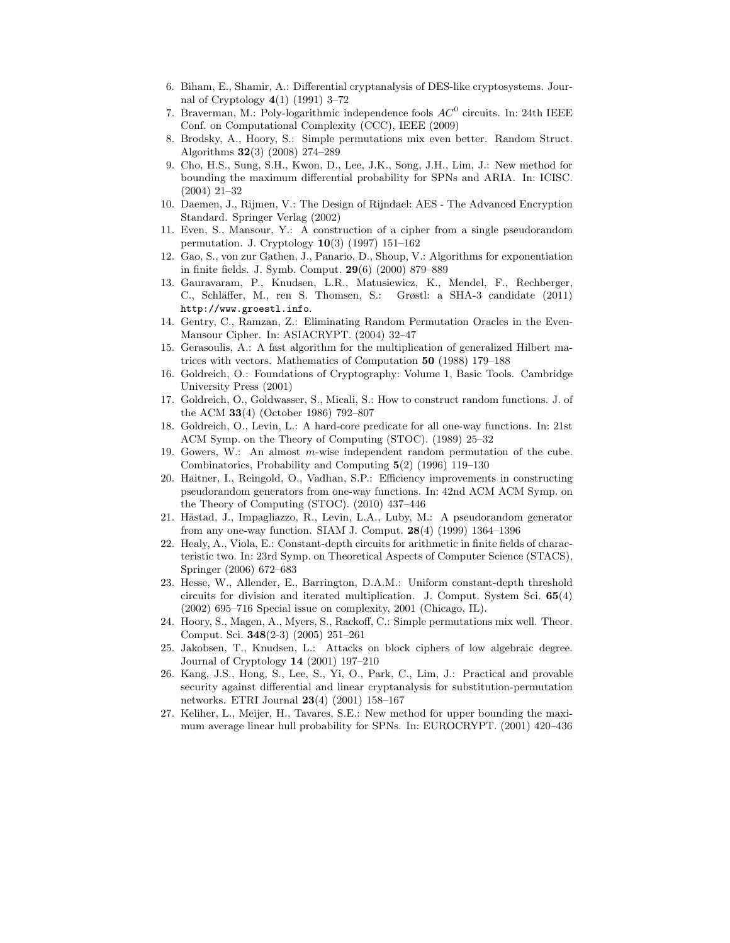- 6. Biham, E., Shamir, A.: Differential cryptanalysis of DES-like cryptosystems. Journal of Cryptology 4(1) (1991) 3–72
- 7. Braverman, M.: Poly-logarithmic independence fools  $AC^0$  circuits. In: 24th IEEE Conf. on Computational Complexity (CCC), IEEE (2009)
- 8. Brodsky, A., Hoory, S.: Simple permutations mix even better. Random Struct. Algorithms 32(3) (2008) 274–289
- 9. Cho, H.S., Sung, S.H., Kwon, D., Lee, J.K., Song, J.H., Lim, J.: New method for bounding the maximum differential probability for SPNs and ARIA. In: ICISC. (2004) 21–32
- 10. Daemen, J., Rijmen, V.: The Design of Rijndael: AES The Advanced Encryption Standard. Springer Verlag (2002)
- 11. Even, S., Mansour, Y.: A construction of a cipher from a single pseudorandom permutation. J. Cryptology 10(3) (1997) 151–162
- 12. Gao, S., von zur Gathen, J., Panario, D., Shoup, V.: Algorithms for exponentiation in finite fields. J. Symb. Comput. 29(6) (2000) 879–889
- 13. Gauravaram, P., Knudsen, L.R., Matusiewicz, K., Mendel, F., Rechberger, C., Schläffer, M., ren S. Thomsen, S.: Grøstl: a SHA-3 candidate (2011) http://www.groestl.info.
- 14. Gentry, C., Ramzan, Z.: Eliminating Random Permutation Oracles in the Even-Mansour Cipher. In: ASIACRYPT. (2004) 32–47
- 15. Gerasoulis, A.: A fast algorithm for the multiplication of generalized Hilbert matrices with vectors. Mathematics of Computation 50 (1988) 179–188
- 16. Goldreich, O.: Foundations of Cryptography: Volume 1, Basic Tools. Cambridge University Press (2001)
- 17. Goldreich, O., Goldwasser, S., Micali, S.: How to construct random functions. J. of the ACM 33(4) (October 1986) 792–807
- 18. Goldreich, O., Levin, L.: A hard-core predicate for all one-way functions. In: 21st ACM Symp. on the Theory of Computing (STOC). (1989) 25–32
- 19. Gowers, W.: An almost m-wise independent random permutation of the cube. Combinatorics, Probability and Computing 5(2) (1996) 119–130
- 20. Haitner, I., Reingold, O., Vadhan, S.P.: Efficiency improvements in constructing pseudorandom generators from one-way functions. In: 42nd ACM ACM Symp. on the Theory of Computing (STOC). (2010) 437–446
- 21. Håstad, J., Impagliazzo, R., Levin, L.A., Luby, M.: A pseudorandom generator from any one-way function. SIAM J. Comput. 28(4) (1999) 1364–1396
- 22. Healy, A., Viola, E.: Constant-depth circuits for arithmetic in finite fields of characteristic two. In: 23rd Symp. on Theoretical Aspects of Computer Science (STACS), Springer (2006) 672–683
- 23. Hesse, W., Allender, E., Barrington, D.A.M.: Uniform constant-depth threshold circuits for division and iterated multiplication. J. Comput. System Sci. 65(4) (2002) 695–716 Special issue on complexity, 2001 (Chicago, IL).
- 24. Hoory, S., Magen, A., Myers, S., Rackoff, C.: Simple permutations mix well. Theor. Comput. Sci. 348(2-3) (2005) 251–261
- 25. Jakobsen, T., Knudsen, L.: Attacks on block ciphers of low algebraic degree. Journal of Cryptology 14 (2001) 197–210
- 26. Kang, J.S., Hong, S., Lee, S., Yi, O., Park, C., Lim, J.: Practical and provable security against differential and linear cryptanalysis for substitution-permutation networks. ETRI Journal 23(4) (2001) 158–167
- 27. Keliher, L., Meijer, H., Tavares, S.E.: New method for upper bounding the maximum average linear hull probability for SPNs. In: EUROCRYPT. (2001) 420–436